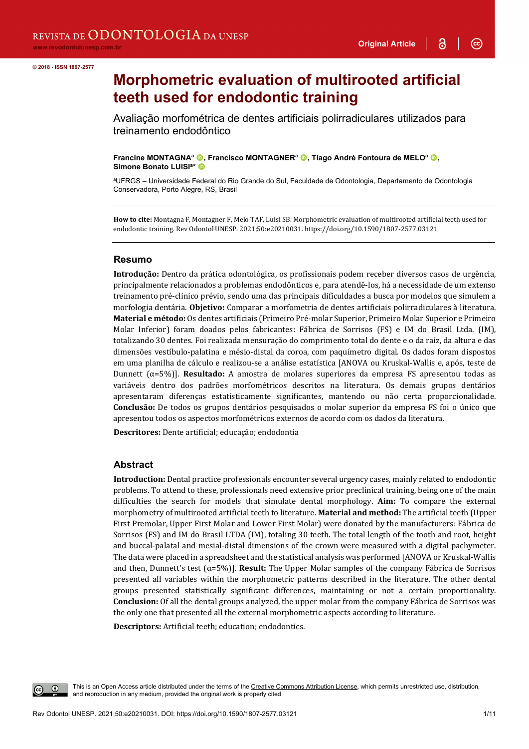$\odot$ 

# **Morphometric evaluation of multirooted artificial teeth used for endodontic training**

Avaliação morfométrica de dentes artificiais polirradiculares utilizados para treinamento endodôntico

**Francine MONTAGNA<sup>a</sup> ©, Francisco MONTAGNER<sup>a</sup> ©, Tiago André Fontoura de MELO<sup>a</sup> ©, Simone Bonato LUISIa\*** 

a UFRGS – Universidade Federal do Rio Grande do Sul, Faculdade de Odontologia, Departamento de Odontologia Conservadora, Porto Alegre, RS, Brasil

**How to cite:** Montagna F, Montagner F, Melo TAF, Luisi SB. Morphometric evaluation of multirooted artificial teeth used for endodontic training. Rev Odontol UNESP. 2021;50:e20210031. https://doi.org/10.1590/1807-2577.03121

#### **Resumo**

**Introdução:** Dentro da prática odontológica, os profissionais podem receber diversos casos de urgência, principalmente relacionados a problemas endodônticos e, para atendê-los, há a necessidade de um extenso treinamento pré-clínico prévio, sendo uma das principais dificuldades a busca por modelos que simulem a morfologia dentária. **Objetivo:** Comparar a morfometria de dentes artificiais polirradiculares à literatura. **Material e método:** Os dentes artificiais (Primeiro Pré-molar Superior, Primeiro Molar Superior e Primeiro Molar Inferior) foram doados pelos fabricantes: Fábrica de Sorrisos (FS) e IM do Brasil Ltda. (IM), totalizando 30 dentes. Foi realizada mensuração do comprimento total do dente e o da raiz, da altura e das dimensões vestíbulo-palatina e mésio-distal da coroa, com paquímetro digital. Os dados foram dispostos em uma planilha de cálculo e realizou-se a análise estatística [ANOVA ou Kruskal-Wallis e, após, teste de Dunnett (α=5%)]. **Resultado:** A amostra de molares superiores da empresa FS apresentou todas as variáveis dentro dos padrões morfométricos descritos na literatura. Os demais grupos dentários apresentaram diferenças estatisticamente significantes, mantendo ou não certa proporcionalidade. **Conclusão:** De todos os grupos dentários pesquisados o molar superior da empresa FS foi o único que apresentou todos os aspectos morfométricos externos de acordo com os dados da literatura.

**Descritores:** Dente artificial; educação; endodontia

### **Abstract**

**Introduction:** Dental practice professionals encounter several urgency cases, mainly related to endodontic problems. To attend to these, professionals need extensive prior preclinical training, being one of the main difficulties the search for models that simulate dental morphology. **Aim:** To compare the external morphometry of multirooted artificial teeth to literature. **Material and method:** The artificial teeth (Upper First Premolar, Upper First Molar and Lower First Molar) were donated by the manufacturers: Fábrica de Sorrisos (FS) and IM do Brasil LTDA (IM), totaling 30 teeth. The total length of the tooth and root, height and buccal-palatal and mesial-distal dimensions of the crown were measured with a digital pachymeter. The data were placed in a spreadsheet and the statistical analysis was performed [ANOVA or Kruskal-Wallis and then, Dunnett's test (α=5%)]. **Result:** The Upper Molar samples of the company Fábrica de Sorrisos presented all variables within the morphometric patterns described in the literature. The other dental groups presented statistically significant differences, maintaining or not a certain proportionality. **Conclusion:** Of all the dental groups analyzed, the upper molar from the company Fábrica de Sorrisos was the only one that presented all the external morphometric aspects according to literature.

**Descriptors:** Artificial teeth; education; endodontics.

This is an Open Access article distributed under the terms of the Creative Commons Attribution License, which permits unrestricted use, distribution, and reproduction in any medium, provided the original work is properly cited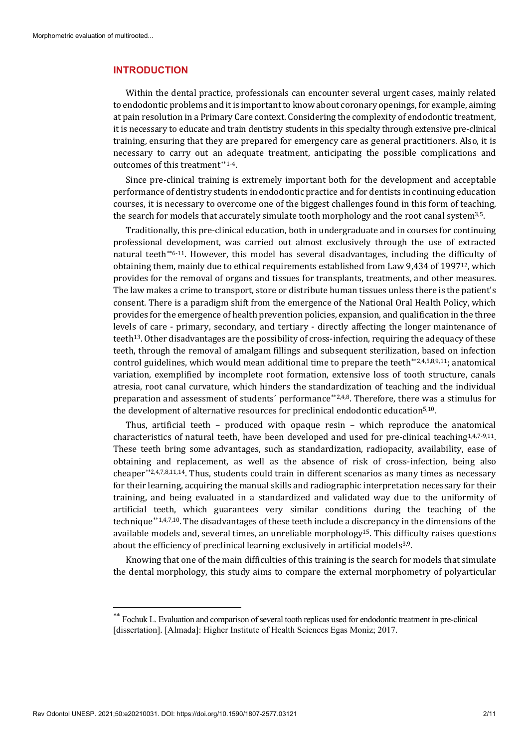#### **INTRODUCTION**

Within the dental practice, professionals can encounter several urgent cases, mainly related to endodontic problems and it is important to know about coronary openings, for example, aiming at pain resolution in a Primary Care context. Considering the complexity of endodontic treatment, it is necessary to educate and train dentistry students in this specialty through extensive pre-clinical training, ensuring that they are prepared for emergency care as general practitioners. Also, it is necessary to carry out an adequate treatment, anticipating the possible complications and outcomes of this treatment[\\*\\*1](#page-1-0)-4.

Since pre-clinical training is extremely important both for the development and acceptable performance of dentistry students in endodontic practice and for dentists in continuing education courses, it is necessary to overcome one of the biggest challenges found in this form of teaching, the search for models that accurately simulate tooth morphology and the root canal system<sup>3,5</sup>.

Traditionally, this pre-clinical education, both in undergraduate and in courses for continuing professional development, was carried out almost exclusively through the use of extracted natural teeth[\\*\\*](#page-1-1)6-11. However, this model has several disadvantages, including the difficulty of obtaining them, mainly due to ethical requirements established from Law 9,434 of 199712, which provides for the removal of organs and tissues for transplants, treatments, and other measures. The law makes a crime to transport, store or distribute human tissues unless there is the patient's consent. There is a paradigm shift from the emergence of the National Oral Health Policy, which provides for the emergence of health prevention policies, expansion, and qualification in the three levels of care - primary, secondary, and tertiary - directly affecting the longer maintenance of teeth13. Other disadvantages are the possibility of cross-infection, requiring the adequacy of these teeth, through the removal of amalgam fillings and subsequent sterilization, based on infection control guidelines, which would mean additional time to prepare the teeth $**2,4,5,8,9,11$  $**2,4,5,8,9,11$ ; anatomical variation, exemplified by incomplete root formation, extensive loss of tooth structure, canals atresia, root canal curvature, which hinders the standardization of teaching and the individual preparation and assessment of students´ performance[\\*\\*2](#page-1-3),4,8. Therefore, there was a stimulus for the development of alternative resources for preclinical endodontic education5,10.

Thus, artificial teeth – produced with opaque resin – which reproduce the anatomical characteristics of natural teeth, have been developed and used for pre-clinical teaching $1,4,7-9,11$ . These teeth bring some advantages, such as standardization, radiopacity, availability, ease of obtaining and replacement, as well as the absence of risk of cross-infection, being also cheaper $**2,4,7,8,11,14$  $**2,4,7,8,11,14$ . Thus, students could train in different scenarios as many times as necessary for their learning, acquiring the manual skills and radiographic interpretation necessary for their training, and being evaluated in a standardized and validated way due to the uniformity of artificial teeth, which guarantees very similar conditions during the teaching of the technique[\\*\\*1](#page-1-5),4,7,10. The disadvantages of these teeth include a discrepancy in the dimensions of the available models and, several times, an unreliable morphology15. This difficulty raises questions about the efficiency of preclinical learning exclusively in artificial models3,9.

Knowing that one of the main difficulties of this training is the search for models that simulate the dental morphology, this study aims to compare the external morphometry of polyarticular

<span id="page-1-5"></span><span id="page-1-4"></span><span id="page-1-3"></span><span id="page-1-2"></span><span id="page-1-1"></span><span id="page-1-0"></span><sup>\*\*</sup> Fochuk L. Evaluation and comparison of several tooth replicas used for endodontic treatment in pre-clinical [dissertation]. [Almada]: Higher Institute of Health Sciences Egas Moniz; 2017.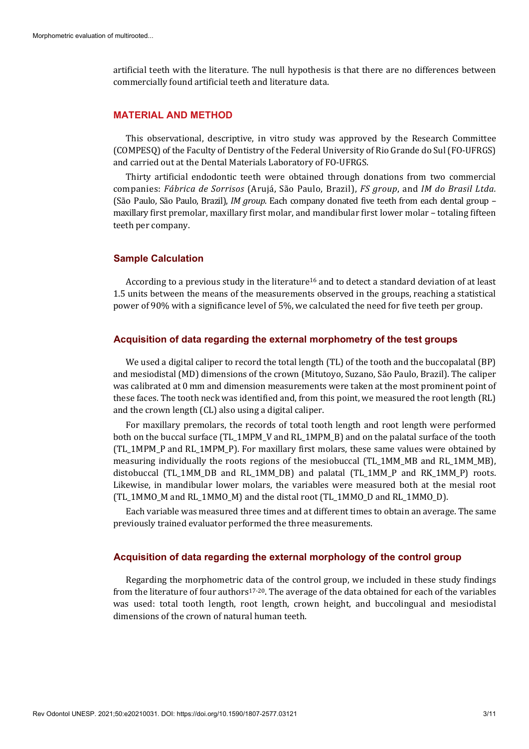artificial teeth with the literature. The null hypothesis is that there are no differences between commercially found artificial teeth and literature data.

## **MATERIAL AND METHOD**

This observational, descriptive, in vitro study was approved by the Research Committee (COMPESQ) of the Faculty of Dentistry of the Federal University of Rio Grande do Sul (FO-UFRGS) and carried out at the Dental Materials Laboratory of FO-UFRGS.

Thirty artificial endodontic teeth were obtained through donations from two commercial companies: *Fábrica de Sorrisos* (Arujá, São Paulo, Brazil), *FS group*, and *IM do Brasil Ltda.* (São Paulo, São Paulo, Brazil), *IM group*. Each company donated five teeth from each dental group – maxillary first premolar, maxillary first molar, and mandibular first lower molar – totaling fifteen teeth per company.

#### **Sample Calculation**

According to a previous study in the literature16 and to detect a standard deviation of at least 1.5 units between the means of the measurements observed in the groups, reaching a statistical power of 90% with a significance level of 5%, we calculated the need for five teeth per group.

#### **Acquisition of data regarding the external morphometry of the test groups**

We used a digital caliper to record the total length (TL) of the tooth and the buccopalatal (BP) and mesiodistal (MD) dimensions of the crown (Mitutoyo, Suzano, São Paulo, Brazil). The caliper was calibrated at 0 mm and dimension measurements were taken at the most prominent point of these faces. The tooth neck was identified and, from this point, we measured the root length (RL) and the crown length (CL) also using a digital caliper.

For maxillary premolars, the records of total tooth length and root length were performed both on the buccal surface (TL\_1MPM\_V and RL\_1MPM\_B) and on the palatal surface of the tooth (TL\_1MPM\_P and RL\_1MPM\_P). For maxillary first molars, these same values were obtained by measuring individually the roots regions of the mesiobuccal (TL\_1MM\_MB and RL\_1MM\_MB), distobuccal (TL\_1MM\_DB and RL\_1MM\_DB) and palatal (TL\_1MM\_P and RK\_1MM\_P) roots. Likewise, in mandibular lower molars, the variables were measured both at the mesial root (TL\_1MMO\_M and RL\_1MMO\_M) and the distal root (TL\_1MMO\_D and RL\_1MMO\_D).

Each variable was measured three times and at different times to obtain an average. The same previously trained evaluator performed the three measurements.

#### **Acquisition of data regarding the external morphology of the control group**

Regarding the morphometric data of the control group, we included in these study findings from the literature of four authors17-20. The average of the data obtained for each of the variables was used: total tooth length, root length, crown height, and buccolingual and mesiodistal dimensions of the crown of natural human teeth.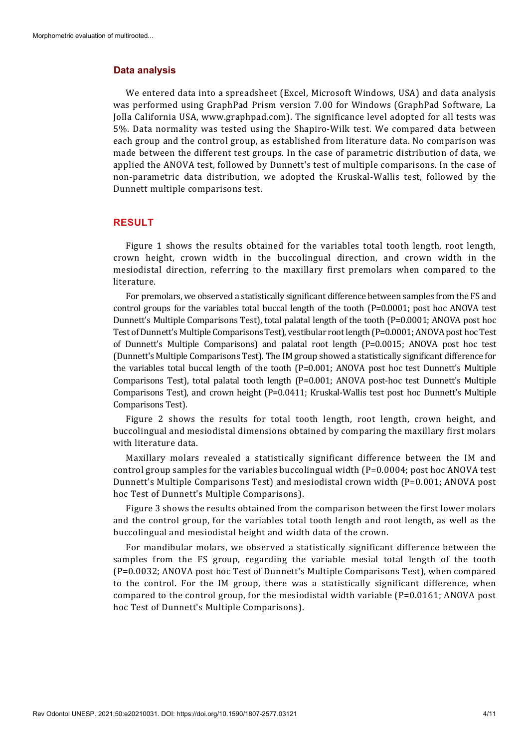#### **Data analysis**

We entered data into a spreadsheet (Excel, Microsoft Windows, USA) and data analysis was performed using GraphPad Prism version 7.00 for Windows (GraphPad Software, La Jolla California USA, www.graphpad.com). The significance level adopted for all tests was 5%. Data normality was tested using the Shapiro-Wilk test. We compared data between each group and the control group, as established from literature data. No comparison was made between the different test groups. In the case of parametric distribution of data, we applied the ANOVA test, followed by Dunnett's test of multiple comparisons. In the case of non-parametric data distribution, we adopted the Kruskal-Wallis test, followed by the Dunnett multiple comparisons test.

## **RESULT**

Figure 1 shows the results obtained for the variables total tooth length, root length, crown height, crown width in the buccolingual direction, and crown width in the mesiodistal direction, referring to the maxillary first premolars when compared to the literature.

For premolars, we observed a statistically significant difference between samples from the FS and control groups for the variables total buccal length of the tooth (P=0.0001; post hoc ANOVA test Dunnett's Multiple Comparisons Test), total palatal length of the tooth (P=0.0001; ANOVA post hoc Test of Dunnett's Multiple Comparisons Test), vestibular root length (P=0.0001; ANOVA post hoc Test of Dunnett's Multiple Comparisons) and palatal root length (P=0.0015; ANOVA post hoc test (Dunnett's Multiple Comparisons Test). The IM group showed a statistically significant difference for the variables total buccal length of the tooth (P=0.001; ANOVA post hoc test Dunnett's Multiple Comparisons Test), total palatal tooth length (P=0.001; ANOVA post-hoc test Dunnett's Multiple Comparisons Test), and crown height (P=0.0411; Kruskal-Wallis test post hoc Dunnett's Multiple Comparisons Test).

Figure 2 shows the results for total tooth length, root length, crown height, and buccolingual and mesiodistal dimensions obtained by comparing the maxillary first molars with literature data.

Maxillary molars revealed a statistically significant difference between the IM and control group samples for the variables buccolingual width (P=0.0004; post hoc ANOVA test Dunnett's Multiple Comparisons Test) and mesiodistal crown width (P=0.001; ANOVA post hoc Test of Dunnett's Multiple Comparisons).

Figure 3 shows the results obtained from the comparison between the first lower molars and the control group, for the variables total tooth length and root length, as well as the buccolingual and mesiodistal height and width data of the crown.

For mandibular molars, we observed a statistically significant difference between the samples from the FS group, regarding the variable mesial total length of the tooth (P=0.0032; ANOVA post hoc Test of Dunnett's Multiple Comparisons Test), when compared to the control. For the IM group, there was a statistically significant difference, when compared to the control group, for the mesiodistal width variable (P=0.0161; ANOVA post hoc Test of Dunnett's Multiple Comparisons).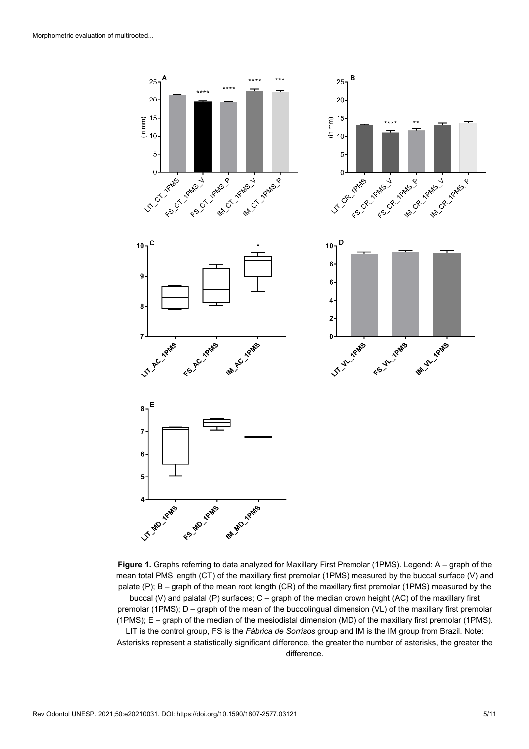

**Figure 1.** Graphs referring to data analyzed for Maxillary First Premolar (1PMS). Legend: A – graph of the mean total PMS length (CT) of the maxillary first premolar (1PMS) measured by the buccal surface (V) and palate (P); B – graph of the mean root length (CR) of the maxillary first premolar (1PMS) measured by the

buccal (V) and palatal (P) surfaces; C – graph of the median crown height (AC) of the maxillary first premolar (1PMS); D – graph of the mean of the buccolingual dimension (VL) of the maxillary first premolar (1PMS); E – graph of the median of the mesiodistal dimension (MD) of the maxillary first premolar (1PMS).

LIT is the control group, FS is the *Fábrica de Sorrisos* group and IM is the IM group from Brazil. Note: Asterisks represent a statistically significant difference, the greater the number of asterisks, the greater the difference.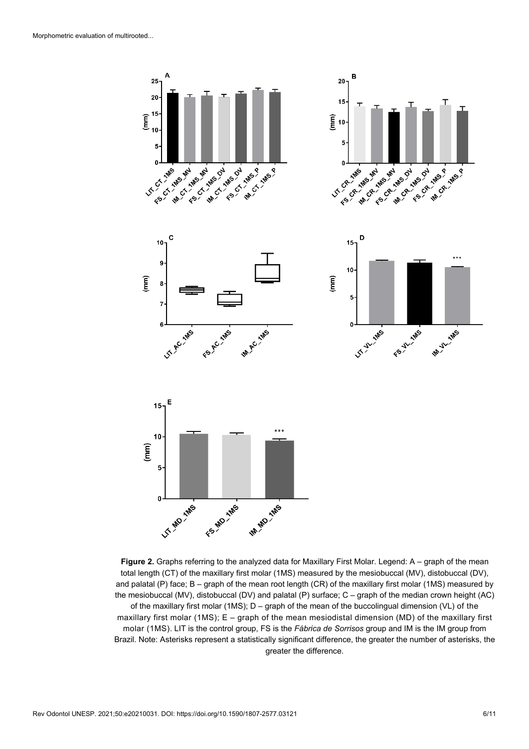

**Figure 2.** Graphs referring to the analyzed data for Maxillary First Molar. Legend: A – graph of the mean total length (CT) of the maxillary first molar (1MS) measured by the mesiobuccal (MV), distobuccal (DV), and palatal (P) face; B – graph of the mean root length (CR) of the maxillary first molar (1MS) measured by the mesiobuccal (MV), distobuccal (DV) and palatal (P) surface; C – graph of the median crown height (AC) of the maxillary first molar (1MS);  $D -$  graph of the mean of the buccolingual dimension (VL) of the maxillary first molar (1MS); E – graph of the mean mesiodistal dimension (MD) of the maxillary first molar (1MS). LIT is the control group, FS is the *Fábrica de Sorrisos* group and IM is the IM group from Brazil. Note: Asterisks represent a statistically significant difference, the greater the number of asterisks, the greater the difference.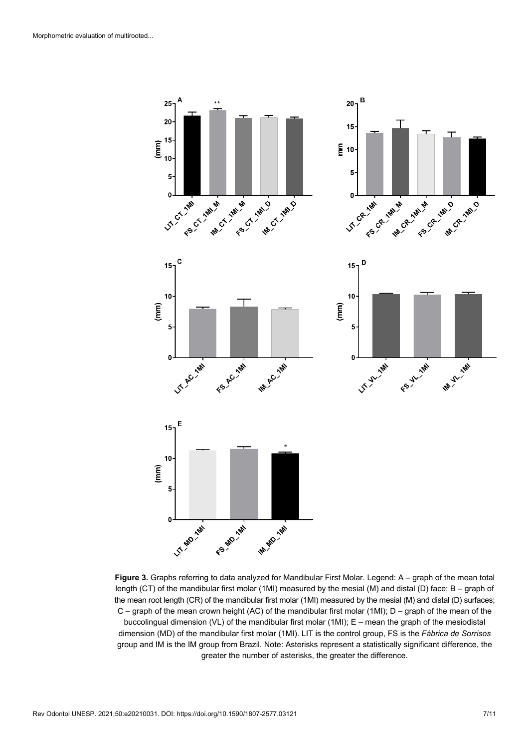

**Figure 3.** Graphs referring to data analyzed for Mandibular First Molar. Legend: A – graph of the mean total length (CT) of the mandibular first molar (1MI) measured by the mesial (M) and distal (D) face; B – graph of the mean root length (CR) of the mandibular first molar (1MI) measured by the mesial (M) and distal (D) surfaces; C – graph of the mean crown height (AC) of the mandibular first molar (1MI); D – graph of the mean of the buccolingual dimension (VL) of the mandibular first molar (1MI); E – mean the graph of the mesiodistal dimension (MD) of the mandibular first molar (1MI). LIT is the control group, FS is the *Fábrica de Sorrisos* group and IM is the IM group from Brazil. Note: Asterisks represent a statistically significant difference, the greater the number of asterisks, the greater the difference.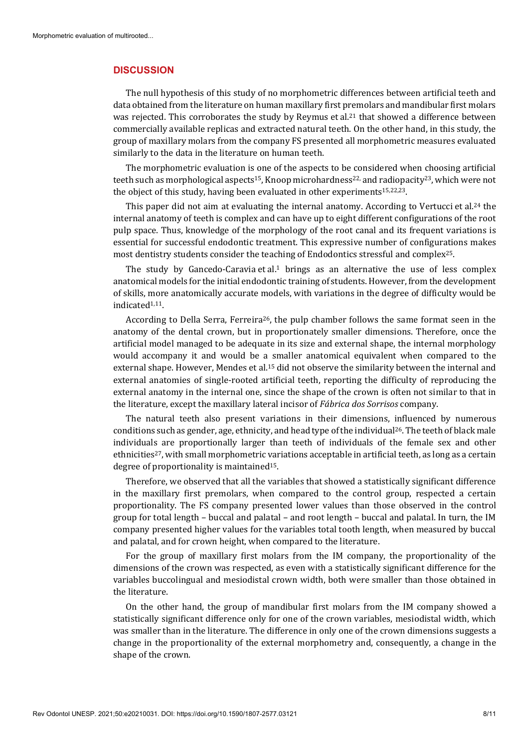#### **DISCUSSION**

The null hypothesis of this study of no morphometric differences between artificial teeth and data obtained from the literature on human maxillary first premolars and mandibular first molars was rejected. This corroborates the study by Reymus et al.<sup>21</sup> that showed a difference between commercially available replicas and extracted natural teeth. On the other hand, in this study, the group of maxillary molars from the company FS presented all morphometric measures evaluated similarly to the data in the literature on human teeth.

The morphometric evaluation is one of the aspects to be considered when choosing artificial teeth such as morphological aspects<sup>15</sup>, Knoop microhardness<sup>22</sup> and radiopacity<sup>23</sup>, which were not the object of this study, having been evaluated in other experiments15,22,23.

This paper did not aim at evaluating the internal anatomy. According to Vertucci et al.24 the internal anatomy of teeth is complex and can have up to eight different configurations of the root pulp space. Thus, knowledge of the morphology of the root canal and its frequent variations is essential for successful endodontic treatment. This expressive number of configurations makes most dentistry students consider the teaching of Endodontics stressful and complex<sup>25</sup>.

The study by Gancedo-Caravia et al.<sup>1</sup> brings as an alternative the use of less complex anatomical models for the initial endodontic training of students. However, from the development of skills, more anatomically accurate models, with variations in the degree of difficulty would be indicated1,11.

According to Della Serra, Ferreira26, the pulp chamber follows the same format seen in the anatomy of the dental crown, but in proportionately smaller dimensions. Therefore, once the artificial model managed to be adequate in its size and external shape, the internal morphology would accompany it and would be a smaller anatomical equivalent when compared to the external shape. However, Mendes et al.15 did not observe the similarity between the internal and external anatomies of single-rooted artificial teeth, reporting the difficulty of reproducing the external anatomy in the internal one, since the shape of the crown is often not similar to that in the literature, except the maxillary lateral incisor of *Fábrica dos Sorrisos* company.

The natural teeth also present variations in their dimensions, influenced by numerous conditions such as gender, age, ethnicity, and head type of the individual<sup>26</sup>. The teeth of black male individuals are proportionally larger than teeth of individuals of the female sex and other ethnicities27, with small morphometric variations acceptable in artificial teeth, as long as a certain degree of proportionality is maintained15.

Therefore, we observed that all the variables that showed a statistically significant difference in the maxillary first premolars, when compared to the control group, respected a certain proportionality. The FS company presented lower values than those observed in the control group for total length – buccal and palatal – and root length – buccal and palatal. In turn, the IM company presented higher values for the variables total tooth length, when measured by buccal and palatal, and for crown height, when compared to the literature.

For the group of maxillary first molars from the IM company, the proportionality of the dimensions of the crown was respected, as even with a statistically significant difference for the variables buccolingual and mesiodistal crown width, both were smaller than those obtained in the literature.

On the other hand, the group of mandibular first molars from the IM company showed a statistically significant difference only for one of the crown variables, mesiodistal width, which was smaller than in the literature. The difference in only one of the crown dimensions suggests a change in the proportionality of the external morphometry and, consequently, a change in the shape of the crown.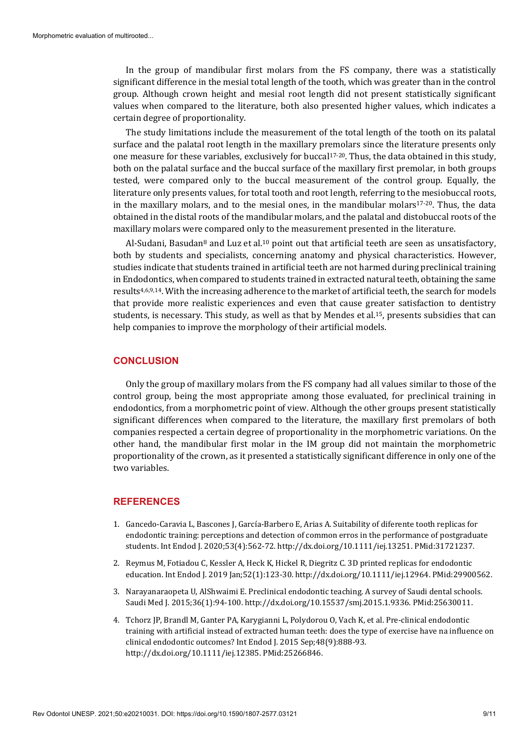In the group of mandibular first molars from the FS company, there was a statistically significant difference in the mesial total length of the tooth, which was greater than in the control group. Although crown height and mesial root length did not present statistically significant values when compared to the literature, both also presented higher values, which indicates a certain degree of proportionality.

The study limitations include the measurement of the total length of the tooth on its palatal surface and the palatal root length in the maxillary premolars since the literature presents only one measure for these variables, exclusively for buccal<sup>17-20</sup>. Thus, the data obtained in this study, both on the palatal surface and the buccal surface of the maxillary first premolar, in both groups tested, were compared only to the buccal measurement of the control group. Equally, the literature only presents values, for total tooth and root length, referring to the mesiobuccal roots, in the maxillary molars, and to the mesial ones, in the mandibular molars $17-20$ . Thus, the data obtained in the distal roots of the mandibular molars, and the palatal and distobuccal roots of the maxillary molars were compared only to the measurement presented in the literature.

Al-Sudani, Basudan<sup>8</sup> and Luz et al.<sup>10</sup> point out that artificial teeth are seen as unsatisfactory, both by students and specialists, concerning anatomy and physical characteristics. However, studies indicate that students trained in artificial teeth are not harmed during preclinical training in Endodontics, when compared to students trained in extracted natural teeth, obtaining the same results4,6,9,14. With the increasing adherence to the market of artificial teeth, the search for models that provide more realistic experiences and even that cause greater satisfaction to dentistry students, is necessary. This study, as well as that by Mendes et al.15, presents subsidies that can help companies to improve the morphology of their artificial models.

### **CONCLUSION**

Only the group of maxillary molars from the FS company had all values similar to those of the control group, being the most appropriate among those evaluated, for preclinical training in endodontics, from a morphometric point of view. Although the other groups present statistically significant differences when compared to the literature, the maxillary first premolars of both companies respected a certain degree of proportionality in the morphometric variations. On the other hand, the mandibular first molar in the IM group did not maintain the morphometric proportionality of the crown, as it presented a statistically significant difference in only one of the two variables.

## **REFERENCES**

- 1. Gancedo-Caravia L, Bascones J, García-Barbero E, Arias A. Suitability of diferente tooth replicas for endodontic training: perceptions and detection of common erros in the performance of postgraduate students. Int Endod J. 2020;53(4):562-72[. http://dx.doi.org/10.1111/iej.13251.](https://doi.org/10.1111/iej.13251) [PMid:31721237.](https://www.ncbi.nlm.nih.gov/entrez/query.fcgi?cmd=Retrieve&db=PubMed&list_uids=31721237&dopt=Abstract)
- 2. Reymus M, Fotiadou C, Kessler A, Heck K, Hickel R, Diegritz C. 3D printed replicas for endodontic education. Int Endod J. 2019 Jan;52(1):123-30[. http://dx.doi.org/10.1111/iej.12964.](https://doi.org/10.1111/iej.12964) [PMid:29900562.](https://www.ncbi.nlm.nih.gov/entrez/query.fcgi?cmd=Retrieve&db=PubMed&list_uids=29900562&dopt=Abstract)
- 3. Narayanaraopeta U, AlShwaimi E. Preclinical endodontic teaching. A survey of Saudi dental schools. Saudi Med J. 2015;36(1):94-100[. http://dx.doi.org/10.15537/smj.2015.1.9336.](https://doi.org/10.15537/smj.2015.1.9336) [PMid:25630011.](https://www.ncbi.nlm.nih.gov/entrez/query.fcgi?cmd=Retrieve&db=PubMed&list_uids=25630011&dopt=Abstract)
- 4. Tchorz JP, Brandl M, Ganter PA, Karygianni L, Polydorou O, Vach K, et al. Pre-clinical endodontic training with artificial instead of extracted human teeth: does the type of exercise have na influence on clinical endodontic outcomes? Int Endod J. 2015 Sep;48(9):888-93. [http://dx.doi.org/10.1111/iej.12385.](https://doi.org/10.1111/iej.12385) [PMid:25266846.](https://www.ncbi.nlm.nih.gov/entrez/query.fcgi?cmd=Retrieve&db=PubMed&list_uids=25266846&dopt=Abstract)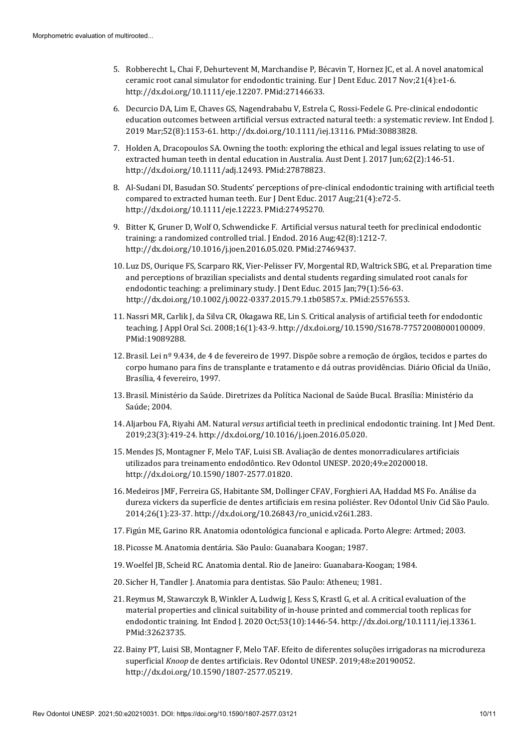- 5. Robberecht L, Chai F, Dehurtevent M, Marchandise P, Bécavin T, Hornez JC, et al. A novel anatomical ceramic root canal simulator for endodontic training. Eur J Dent Educ. 2017 Nov;21(4):e1-6. [http://dx.doi.org/10.1111/eje.12207.](https://doi.org/10.1111/eje.12207) [PMid:27146633.](https://www.ncbi.nlm.nih.gov/entrez/query.fcgi?cmd=Retrieve&db=PubMed&list_uids=27146633&dopt=Abstract)
- 6. Decurcio DA, Lim E, Chaves GS, Nagendrababu V, Estrela C, Rossi-Fedele G. Pre-clinical endodontic education outcomes between artificial versus extracted natural teeth: a systematic review. Int Endod J. 2019 Mar;52(8):1153-61[. http://dx.doi.org/10.1111/iej.13116.](https://doi.org/10.1111/iej.13116) [PMid:30883828.](https://www.ncbi.nlm.nih.gov/entrez/query.fcgi?cmd=Retrieve&db=PubMed&list_uids=30883828&dopt=Abstract)
- 7. Holden A, Dracopoulos SA. Owning the tooth: exploring the ethical and legal issues relating to use of extracted human teeth in dental education in Australia. Aust Dent J. 2017 Jun;62(2):146-51. [http://dx.doi.org/10.1111/adj.12493.](https://doi.org/10.1111/adj.12493) [PMid:27878823.](https://www.ncbi.nlm.nih.gov/entrez/query.fcgi?cmd=Retrieve&db=PubMed&list_uids=27878823&dopt=Abstract)
- 8. Al-Sudani DI, Basudan SO. Students' perceptions of pre-clinical endodontic training with artificial teeth compared to extracted human teeth. Eur J Dent Educ. 2017 Aug;21(4):e72-5. [http://dx.doi.org/10.1111/eje.12223.](https://doi.org/10.1111/eje.12223) [PMid:27495270.](https://www.ncbi.nlm.nih.gov/entrez/query.fcgi?cmd=Retrieve&db=PubMed&list_uids=27495270&dopt=Abstract)
- 9. Bitter K, Gruner D, Wolf O, Schwendicke F. Artificial versus natural teeth for preclinical endodontic training: a randomized controlled trial. J Endod. 2016 Aug;42(8):1212-7. [http://dx.doi.org/10.1016/j.joen.2016.05.020.](https://doi.org/10.1016/j.joen.2016.05.020) [PMid:27469437.](https://www.ncbi.nlm.nih.gov/entrez/query.fcgi?cmd=Retrieve&db=PubMed&list_uids=27469437&dopt=Abstract)
- 10. Luz DS, Ourique FS, Scarparo RK, Vier-Pelisser FV, Morgental RD, Waltrick SBG, et al. Preparation time and perceptions of brazilian specialists and dental students regarding simulated root canals for endodontic teaching: a preliminary study. J Dent Educ. 2015 Jan;79(1):56-63. [http://dx.doi.org/10.1002/j.0022-0337.2015.79.1.tb05857.x.](https://doi.org/10.1002/j.0022-0337.2015.79.1.tb05857.x) [PMid:25576553.](https://www.ncbi.nlm.nih.gov/entrez/query.fcgi?cmd=Retrieve&db=PubMed&list_uids=25576553&dopt=Abstract)
- 11. Nassri MR, Carlik J, da Silva CR, Okagawa RE, Lin S. Critical analysis of artificial teeth for endodontic teaching. J Appl Oral Sci. 2008;16(1):43-9[. http://dx.doi.org/10.1590/S1678-77572008000100009.](https://doi.org/10.1590/S1678-77572008000100009) [PMid:19089288.](https://www.ncbi.nlm.nih.gov/entrez/query.fcgi?cmd=Retrieve&db=PubMed&list_uids=19089288&dopt=Abstract)
- 12. Brasil. Lei nº 9.434, de 4 de fevereiro de 1997. Dispõe sobre a remoção de órgãos, tecidos e partes do corpo humano para fins de transplante e tratamento e dá outras providências. Diário Oficial da União, Brasília, 4 fevereiro, 1997.
- 13. Brasil. Ministério da Saúde. Diretrizes da Política Nacional de Saúde Bucal. Brasília: Ministério da Saúde; 2004.
- 14. Aljarbou FA, Riyahi AM. Natural *versus* artificial teeth in preclinical endodontic training. Int J Med Dent. 2019;23(3):419-24. http://dx.doi.org/10.1016/j.joen.2016.05.020.
- 15. Mendes JS, Montagner F, Melo TAF, Luisi SB. Avaliação de dentes monorradiculares artificiais utilizados para treinamento endodôntico. Rev Odontol UNESP. 2020;49:e20200018. [http://dx.doi.org/10.1590/1807-2577.01820.](https://doi.org/10.1590/1807-2577.01820)
- 16. Medeiros JMF, Ferreira GS, Habitante SM, Dollinger CFAV, Forghieri AA, Haddad MS Fo. Análise da dureza vickers da superfície de dentes artificiais em resina poliéster. Rev Odontol Univ Cid São Paulo. 2014;26(1):23-37. http://dx.doi.org/10.26843/ro\_unicid.v26i1.283.
- 17. Figún ME, Garino RR. Anatomia odontológica funcional e aplicada. Porto Alegre: Artmed; 2003.
- 18. Picosse M. Anatomia dentária. São Paulo: Guanabara Koogan; 1987.
- 19. Woelfel JB, Scheid RC. Anatomia dental. Rio de Janeiro: Guanabara-Koogan; 1984.
- 20. Sicher H, Tandler J. Anatomia para dentistas. São Paulo: Atheneu; 1981.
- 21. Reymus M, Stawarczyk B, Winkler A, Ludwig J, Kess S, Krastl G, et al. A critical evaluation of the material properties and clinical suitability of in-house printed and commercial tooth replicas for endodontic training. Int Endod J. 2020 Oct;53(10):1446-54[. http://dx.doi.org/10.1111/iej.13361](https://doi.org/10.1111/iej.13361)[.](https://www.ncbi.nlm.nih.gov/entrez/query.fcgi?cmd=Retrieve&db=PubMed&list_uids=32623735&dopt=Abstract) [PMid:32623735.](https://www.ncbi.nlm.nih.gov/entrez/query.fcgi?cmd=Retrieve&db=PubMed&list_uids=32623735&dopt=Abstract)
- 22. Bainy PT, Luisi SB, Montagner F, Melo TAF. Efeito de diferentes soluções irrigadoras na microdureza superficial *Knoop* de dentes artificiais. Rev Odontol UNESP. 2019;48:e20190052. [http://dx.doi.org/10.1590/1807-2577.05219.](https://doi.org/10.1590/1807-2577.05219)